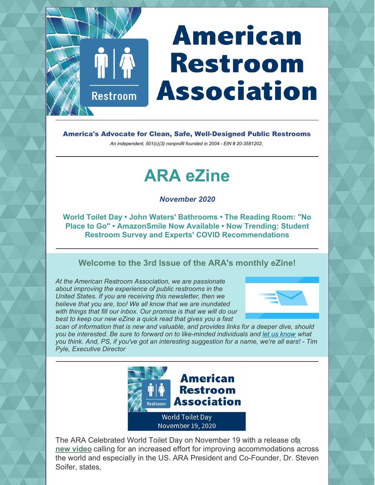# **American Restroom Association**

America's Advocate for Clean, Safe, Well-Designed Public Restrooms

*An independent, 501(c)(3) nonprofit founded in 2004 - EIN # 20-3581202.*

## **ARA eZine**

*November 2020*

**World Toilet Day • John Waters' Bathrooms • The Reading Room: "No Place to Go" • AmazonSmile Now Available • Now Trending: Student Restroom Survey and Experts' COVID Recommendations**

#### **Welcome to the 3rd Issue of the ARA's monthly eZine!**

*At the American Restroom Association, we are passionate about improving the experience of public restrooms in the United States. If you are receiving this newsletter, then we believe that you are, too! We all know that we are inundated with things that fill our inbox. Our promise is that we will do our best to keep our new eZine a quick read that gives you a fast*

 $\P\P$  $\spadesuit$ 

**Restroom** 



*scan of information that is new and valuable, and provides links for a deeper dive, should you be interested. Be sure to forward on to like-minded individuals and [let us know](https://americanrestroom.org/contact/) what you think. And, PS, if you've got an interesting suggestion for a name, we're all ears! - Tim Pyle, Executive Director*



[The ARA Celebrated World Toilet Day on November 19 with a release of](https://vimeo.com/478286372/289e2e54a8) a **new video** calling for an increased effort for improving accommodations across the world and especially in the US. ARA President and Co-Founder, Dr. Steven Soifer, states,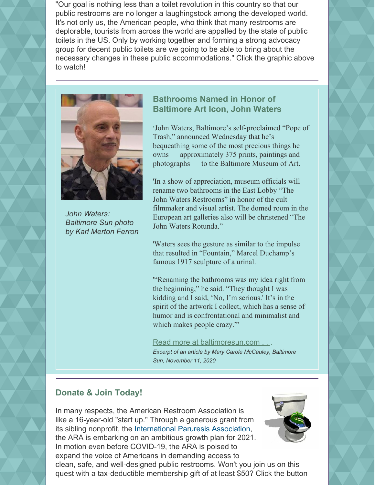"Our goal is nothing less than a toilet revolution in this country so that our public restrooms are no longer a laughingstock among the developed world. It's not only us, the American people, who think that many restrooms are deplorable, tourists from across the world are appalled by the state of public toilets in the US. Only by working together and forming a strong advocacy group for decent public toilets are we going to be able to bring about the necessary changes in these public accommodations." Click the graphic above to watch!



*John Waters: Baltimore Sun photo by Karl Merton Ferron*

#### **Bathrooms Named in Honor of Baltimore Art Icon, John Waters**

**'**John Waters, Baltimore's self-proclaimed "Pope of Trash," announced Wednesday that he's bequeathing some of the most precious things he owns — approximately 375 prints, paintings and photographs — to the Baltimore Museum of Art.

'In a show of appreciation, museum officials will rename two bathrooms in the East Lobby "The John Waters Restrooms" in honor of the cult filmmaker and visual artist. The domed room in the European art galleries also will be christened "The John Waters Rotunda."

'Waters sees the gesture as similar to the impulse that resulted in "Fountain," Marcel Duchamp's famous 1917 sculpture of a urinal.

'"Renaming the bathrooms was my idea right from the beginning," he said. "They thought I was kidding and I said, 'No, I'm serious.' It's in the spirit of the artwork I collect, which has a sense of humor and is confrontational and minimalist and which makes people crazy."'

[Read more at baltimoresun.com . .](https://www.baltimoresun.com/entertainment/arts/bs-fe-waters-bequest-bma-20201111-wkye7pikrrbntppcc5et3r4gsm-story.html) . *Excerpt of an article by Mary Carole McCauley, Baltimore Sun, November 11, 2020*

#### **Donate & Join Today!**

In many respects, the American Restroom Association is like a 16-year-old "start up." Through a generous grant from its sibling nonprofit, the [International Paruresis Association](https://paruresis.org), the ARA is embarking on an ambitious growth plan for 2021. In motion even before COVID-19, the ARA is poised to expand the voice of Americans in demanding access to clean, safe, and well-designed public restrooms. Won't you join us on this quest with a tax-deductible membership gift of at least \$50? Click the button

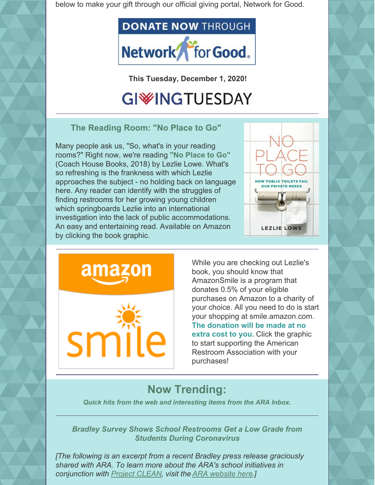below to make your gift through our official giving portal, Network for Good.



**This Tuesday, December 1, 2020!**

### **GIWINGTUESDAY**

**The Reading Room: "No Place to Go"**

Many people ask us, "So, what's in your reading rooms?" Right now, we're reading **"No Place to Go"** (Coach House Books, 2018) by Lezlie Lowe. What's so refreshing is the frankness with which Lezlie approaches the subject - no holding back on language here. Any reader can identify with the struggles of finding restrooms for her growing young children which springboards Lezlie into an international investigation into the lack of public accommodations. An easy and entertaining read. Available on Amazon by clicking the book graphic.





While you are checking out Lezlie's book, you should know that AmazonSmile is a program that donates 0.5% of your eligible purchases on Amazon to a charity of your choice. All you need to do is start your shopping at smile.amazon.com. **The donation will be made at no extra cost to you.** Click the graphic to start supporting the American Restroom Association with your purchases!

### **Now Trending:**

*Quick hits from the web and interesting items from the ARA Inbox.*

*Bradley Survey Shows School Restrooms Get a Low Grade from Students During Coronavirus*

*[The following is an excerpt from a recent Bradley press release graciously shared with ARA. To learn more about the ARA's school initiatives in conjunction with [Project CLEAN](http://projectclean.us/), visit the [ARA website here](https://americanrestroom.org/better-school-restrooms/).]*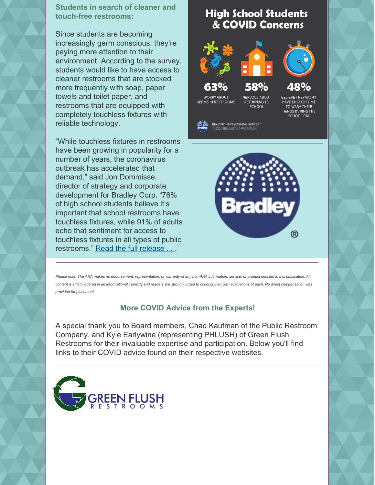**Students in search of cleaner and touch-free restrooms:**

Since students are becoming increasingly germ conscious, they're paying more attention to their environment. According to the survey, students would like to have access to cleaner restrooms that are stocked more frequently with soap, paper towels and toilet paper, and restrooms that are equipped with completely touchless fixtures with reliable technology.

"While touchless fixtures in restrooms have been growing in popularity for a number of years, the coronavirus outbreak has accelerated that demand," said Jon Dommisse, director of strategy and corporate development for Bradley Corp. "76% of high school students believe it's important that school restrooms have touchless fixtures, while 91% of adults echo that sentiment for access to touchless fixtures in all types of public restrooms." [Read the full release . .](https://www.bradleycorp.com/news/school-restrooms-get-a-low-grade-from-high-school-students) .

#### **High School Students** & COVID Concerns

**NERVOUS ABOUT** 

**RETURNING TO** 

**SCHOOL** 



**WORRY ABOUT** 

**GERMS IN RESTROOMS** 





**BELIEVE THEY WON'T HAVE ENOUGH TIME** TO WASH THEIR HANDS DURING THE **SCHOOL DAY** 

**HEALTHY HANDWASHING SURVEY**<sup>14</sup> **2020 BRADLEY CORPORAT** 



*Please note: The ARA makes no endorsement, representation, or warranty of any non-ARA information, service, or product detailed in this publication. All content is strictly offered in an informational capacity and readers are strongly urged to conduct their own evaluations of each. No direct compensation was provided for placement.*

#### **More COVID Advice from the Experts!**

A special thank you to Board members, Chad Kaufman of the Public Restroom Company, and Kyle Earlywine (representing PHLUSH) of Green Flush Restrooms for their invaluable expertise and participation. Below you'll find links to their COVID advice found on their respective websites.